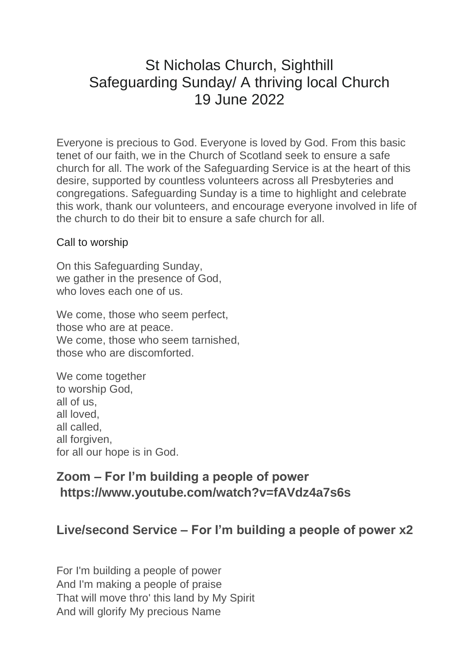# St Nicholas Church, Sighthill Safeguarding Sunday/ A thriving local Church 19 June 2022

Everyone is precious to God. Everyone is loved by God. From this basic tenet of our faith, we in the Church of Scotland seek to ensure a safe church for all. The work of the Safeguarding Service is at the heart of this desire, supported by countless volunteers across all Presbyteries and congregations. Safeguarding Sunday is a time to highlight and celebrate this work, thank our volunteers, and encourage everyone involved in life of the church to do their bit to ensure a safe church for all.

#### Call to worship

On this Safeguarding Sunday, we gather in the presence of God, who loves each one of us.

We come, those who seem perfect, those who are at peace. We come, those who seem tarnished. those who are discomforted.

We come together to worship God, all of us, all loved, all called, all forgiven, for all our hope is in God.

### **Zoom – For I'm building a people of power https://www.youtube.com/watch?v=fAVdz4a7s6s**

#### **Live/second Service – For I'm building a people of power x2**

For I'm building a people of power And I'm making a people of praise That will move thro' this land by My Spirit And will glorify My precious Name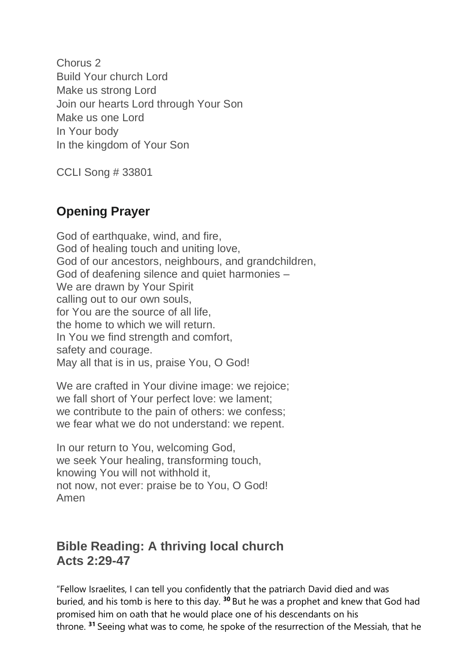Chorus 2 Build Your church Lord Make us strong Lord Join our hearts Lord through Your Son Make us one Lord In Your body In the kingdom of Your Son

CCLI Song # 33801

## **Opening Prayer**

God of earthquake, wind, and fire, God of healing touch and uniting love, God of our ancestors, neighbours, and grandchildren, God of deafening silence and quiet harmonies – We are drawn by Your Spirit calling out to our own souls, for You are the source of all life, the home to which we will return. In You we find strength and comfort, safety and courage. May all that is in us, praise You, O God!

We are crafted in Your divine image: we rejoice; we fall short of Your perfect love: we lament; we contribute to the pain of others: we confess; we fear what we do not understand: we repent.

In our return to You, welcoming God, we seek Your healing, transforming touch, knowing You will not withhold it, not now, not ever: praise be to You, O God! Amen

### **Bible Reading: A thriving local church Acts 2:29-47**

"Fellow Israelites, I can tell you confidently that the patriarch David died and was buried, and his tomb is here to this day. **<sup>30</sup>** But he was a prophet and knew that God had promised him on oath that he would place one of his descendants on his throne. **<sup>31</sup>** Seeing what was to come, he spoke of the resurrection of the Messiah, that he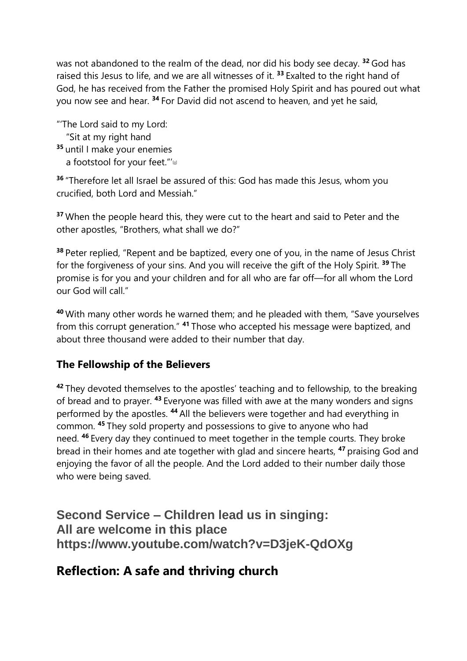was not abandoned to the realm of the dead, nor did his body see decay. **<sup>32</sup>** God has raised this Jesus to life, and we are all witnesses of it. **<sup>33</sup>** Exalted to the right hand of God, he has received from the Father the promised Holy Spirit and has poured out what you now see and hear. **<sup>34</sup>** For David did not ascend to heaven, and yet he said,

"'The Lord said to my Lord: "Sit at my right hand **<sup>35</sup>** until I make your enemies a footstool for your feet."'<sup>a</sup>

**<sup>36</sup>** "Therefore let all Israel be assured of this: God has made this Jesus, whom you crucified, both Lord and Messiah."

**<sup>37</sup>** When the people heard this, they were cut to the heart and said to Peter and the other apostles, "Brothers, what shall we do?"

**<sup>38</sup>** Peter replied, "Repent and be baptized, every one of you, in the name of Jesus Christ for the forgiveness of your sins. And you will receive the gift of the Holy Spirit. **<sup>39</sup>** The promise is for you and your children and for all who are far off—for all whom the Lord our God will call."

**<sup>40</sup>** With many other words he warned them; and he pleaded with them, "Save yourselves from this corrupt generation." **<sup>41</sup>** Those who accepted his message were baptized, and about three thousand were added to their number that day.

#### **The Fellowship of the Believers**

**<sup>42</sup>** They devoted themselves to the apostles' teaching and to fellowship, to the breaking of bread and to prayer. **<sup>43</sup>** Everyone was filled with awe at the many wonders and signs performed by the apostles. **<sup>44</sup>** All the believers were together and had everything in common. **<sup>45</sup>** They sold property and possessions to give to anyone who had need. **<sup>46</sup>** Every day they continued to meet together in the temple courts. They broke bread in their homes and ate together with glad and sincere hearts, **<sup>47</sup>** praising God and enjoying the favor of all the people. And the Lord added to their number daily those who were being saved.

**Second Service – Children lead us in singing: All are welcome in this place https://www.youtube.com/watch?v=D3jeK-QdOXg**

## **Reflection: A safe and thriving church**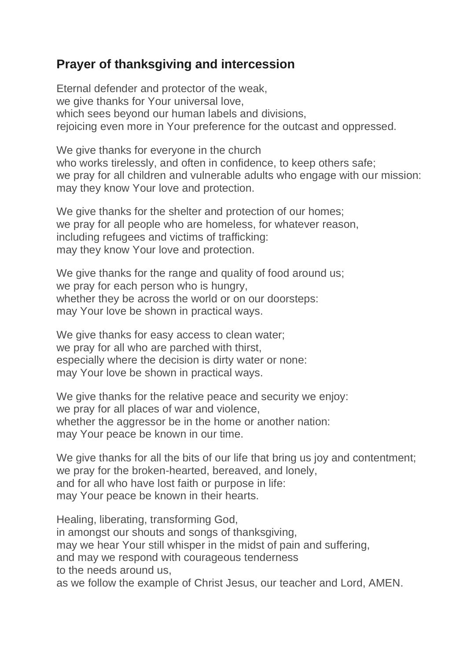# **Prayer of thanksgiving and intercession**

Eternal defender and protector of the weak, we give thanks for Your universal love, which sees beyond our human labels and divisions, rejoicing even more in Your preference for the outcast and oppressed.

We give thanks for everyone in the church who works tirelessly, and often in confidence, to keep others safe; we pray for all children and vulnerable adults who engage with our mission: may they know Your love and protection.

We give thanks for the shelter and protection of our homes; we pray for all people who are homeless, for whatever reason, including refugees and victims of trafficking: may they know Your love and protection.

We give thanks for the range and quality of food around us; we pray for each person who is hungry, whether they be across the world or on our doorsteps: may Your love be shown in practical ways.

We give thanks for easy access to clean water; we pray for all who are parched with thirst, especially where the decision is dirty water or none: may Your love be shown in practical ways.

We give thanks for the relative peace and security we enjoy: we pray for all places of war and violence, whether the aggressor be in the home or another nation: may Your peace be known in our time.

We give thanks for all the bits of our life that bring us joy and contentment; we pray for the broken-hearted, bereaved, and lonely, and for all who have lost faith or purpose in life: may Your peace be known in their hearts.

Healing, liberating, transforming God, in amongst our shouts and songs of thanksgiving, may we hear Your still whisper in the midst of pain and suffering, and may we respond with courageous tenderness to the needs around us,

as we follow the example of Christ Jesus, our teacher and Lord, AMEN.